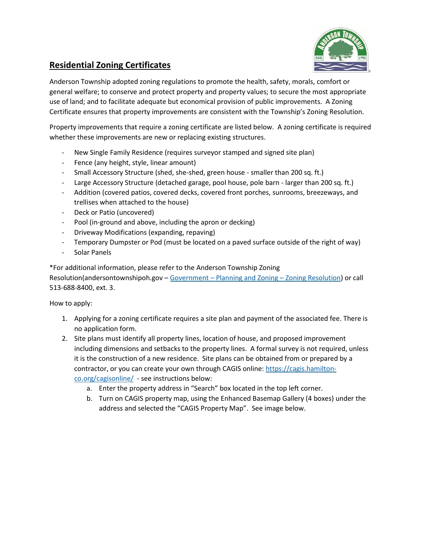

## **Residential Zoning Certificates**

Anderson Township adopted zoning regulations to promote the health, safety, morals, comfort or general welfare; to conserve and protect property and property values; to secure the most appropriate use of land; and to facilitate adequate but economical provision of public improvements. A Zoning Certificate ensures that property improvements are consistent with the Township's Zoning Resolution.

Property improvements that require a zoning certificate are listed below. A zoning certificate is required whether these improvements are new or replacing existing structures.

- New Single Family Residence (requires surveyor stamped and signed site plan)
- Fence (any height, style, linear amount)
- Small Accessory Structure (shed, she-shed, green house smaller than 200 sq. ft.)
- Large Accessory Structure (detached garage, pool house, pole barn larger than 200 sq. ft.)
- Addition (covered patios, covered decks, covered front porches, sunrooms, breezeways, and trellises when attached to the house)
- Deck or Patio (uncovered)
- Pool (in-ground and above, including the apron or decking)
- Driveway Modifications (expanding, repaving)
- Temporary Dumpster or Pod (must be located on a paved surface outside of the right of way)
- Solar Panels

\*For additional information, please refer to the Anderson Township Zoning Resolution(andersontownshipoh.gov – Government – [Planning and Zoning –](https://andersontownshipoh.gov/Portals/andersontownship/Documents/Forms/Anderson%20Township%20Zoning%20Resolution%20Final%2011_3.pdf) Zoning Resolution) or call 513-688-8400, ext. 3.

How to apply:

- 1. Applying for a zoning certificate requires a site plan and payment of the associated fee. There is no application form.
- 2. Site plans must identify all property lines, location of house, and proposed improvement including dimensions and setbacks to the property lines. A formal survey is not required, unless it is the construction of a new residence. Site plans can be obtained from or prepared by a contractor, or you can create your own through CAGIS online[: https://cagis.hamilton](https://cagis.hamilton-co.org/cagisonline/)[co.org/cagisonline/](https://cagis.hamilton-co.org/cagisonline/) - see instructions below:
	- a. Enter the property address in "Search" box located in the top left corner.
	- b. Turn on CAGIS property map, using the Enhanced Basemap Gallery (4 boxes) under the address and selected the "CAGIS Property Map". See image below.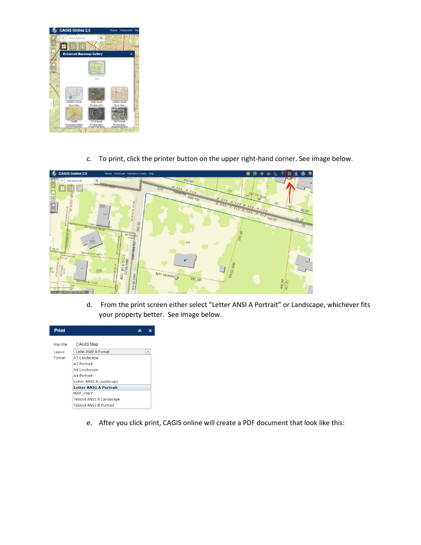

c. To print, click the printer button on the upper right-hand corner. See image below.



d. From the print screen either select "Letter ANSI A Portrait" or Landscape, whichever fits your property better. See image below.



e. After you click print, CAGIS online will create a PDF document that look like this: